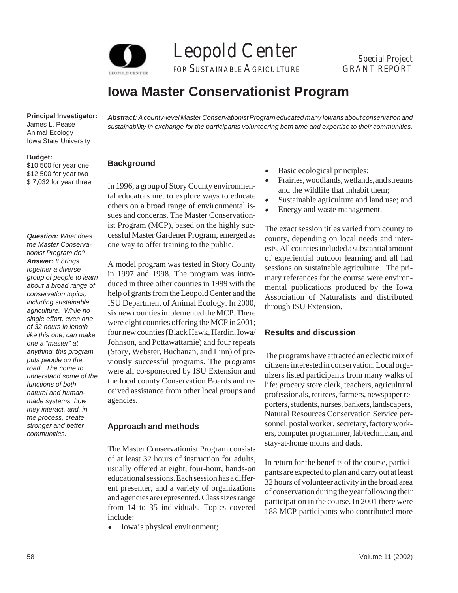Leopold Center Special Project FOR SUSTAINABLE AGRICULTURE GRANT REPORT

# **Iowa Master Conservationist Program**

**Principal Investigator:** 

James L. Pease Animal Ecology Iowa State University

### **Budget:**

\$10,500 for year one \$12,500 for year two \$ 7,032 for year three

*Question: What does the Master Conservationist Program do? Answer: It brings together a diverse group of people to learn about a broad range of conservation topics, including sustainable agriculture. While no single effort, even one of 32 hours in length like this one, can make one a "master" at anything, this program puts people on the road. The come to understand some of the functions of both natural and humanmade systems, how they interact, and, in the process, create stronger and better communities.* 

*Abstract: A county-level Master Conservationist Program educated many Iowans about conservation and sustainability in exchange for the participants volunteering both time and expertise to their communities.* 

# **Background**

In 1996, a group of Story County environmen-<br>
In 1996, a group of Story County environmen-<br>
In the wildlife that inhabit them;<br>
Sustainable agriculture and land use; and  $S$  others on a broad range of environmental is-<br>Energy and waste management. sues and concerns. The Master Conservationist Program (MCP), based on the highly suc-<br>cessful Master Gardener Program, emerged as<br>county, depending on local needs and inter-<br>one way to offer training to the public.<br>gsts. All counties included a substantial amount

ISU Department of Animal Ecology. In 2000,<br>six new counties implemented the MCP. There were eight counties offering the MCP in 2001; four new counties (Black Hawk, Hardin, Iowa/ **Results and discussion**  Johnson, and Pottawattamie) and four repeats

stay-at-home moms and dads. The Master Conservationist Program consists of at least 32 hours of instruction for adults,<br>usually offered at eight, four-hour, hands-on<br>educational sessions. Each session has a differ-<br>ent presenter, and a variety of organizations<br>and agencies are represented. Cla

e Iowa's physical environment;

- $\bullet$ Basic ecological principles;
- $\bullet$
- 
- 

A model program was tested in Story County<br>in 1997 and 1998. The program was intro-<br>duced in three other counties in 1999 with the<br>help of grants from the Leopold Center and the<br>help of grants from the Leopold Center and t

(Story, Webster, Buchanan, and Linn) of pre-<br>viously successful programs. The programs<br>were all co-sponsored by ISU Extension and<br>the local county Conservation Boards and re-<br>ceived assistance from other local groups and<br>a Natural Resources Conservation Service per-**Approach and methods** sonnel, postal worker, secretary, factory workers, computer programmer, lab technician, and